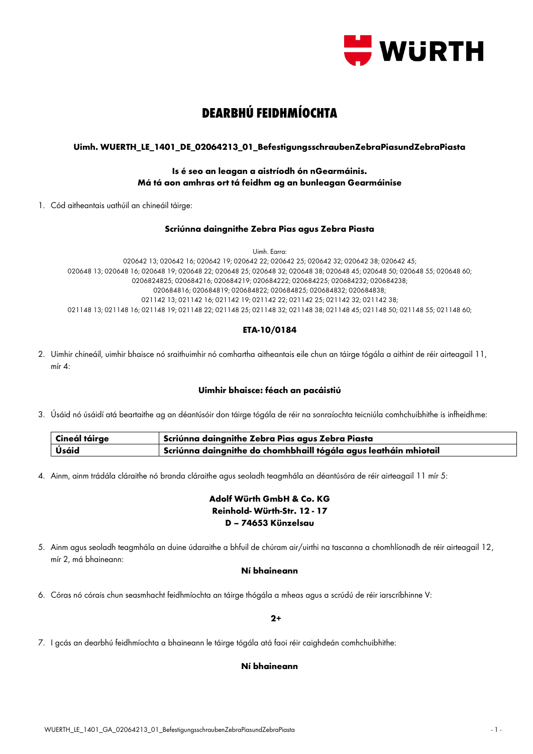

# **DEARBHÚ FEIDHMÍOCHTA**

## **Uimh. WUERTH\_LE\_1401\_DE\_02064213\_01\_BefestigungsschraubenZebraPiasundZebraPiasta**

## **Is é seo an leagan a aistríodh ón nGearmáinis. Má tá aon amhras ort tá feidhm ag an bunleagan Gearmáinise**

1. Cód aitheantais uathúil an chineáil táirge:

### **Scriúnna daingnithe Zebra Pias agus Zebra Piasta**

Uimh. Earra:

020642 13; 020642 16; 020642 19; 020642 22; 020642 25; 020642 32; 020642 38; 020642 45; 020648 13; 020648 16; 020648 19; 020648 22; 020648 25; 020648 32; 020648 38; 020648 45; 020648 50; 020648 55; 020648 60; 0206824825; 020684216; 020684219; 020684222; 020684225; 020684232; 020684238; 020684816; 020684819; 020684822; 020684825; 020684832; 020684838; 021142 13; 021142 16; 021142 19; 021142 22; 021142 25; 021142 32; 021142 38; 021148 13; 021148 16; 021148 19; 021148 22; 021148 25; 021148 32; 021148 38; 021148 45; 021148 50; 021148 55; 021148 60;

## **ETA-10/0184**

2. Uimhir chineáil, uimhir bhaisce nó sraithuimhir nó comhartha aitheantais eile chun an táirge tógála a aithint de réir airteagail 11, mír 4:

## **Uimhir bhaisce: féach an pacáistiú**

3. Úsáid nó úsáidí atá beartaithe ag an déantúsóir don táirge tógála de réir na sonraíochta teicniúla comhchuibhithe is infheidhme:

| Cineál táirge | Scriúnna daingnithe Zebra Pias agus Zebra Piasta                               |
|---------------|--------------------------------------------------------------------------------|
| Úsáid         | $\mid$ Scriúnna daingnithe do chomhbhaill tógála agus leatháin mhiotail $\mid$ |

4. Ainm, ainm trádála cláraithe nó branda cláraithe agus seoladh teagmhála an déantúsóra de réir airteagail 11 mír 5:

# **Adolf Würth GmbH & Co. KG Reinhold- Würth-Str. 12 - 17 D – 74653 Künzelsau**

5. Ainm agus seoladh teagmhála an duine údaraithe a bhfuil de chúram air/uirthi na tascanna a chomhlíonadh de réir airteagail 12, mír 2, má bhaineann:

## **Ní bhaineann**

6. Córas nó córais chun seasmhacht feidhmíochta an táirge thógála a mheas agus a scrúdú de réir iarscríbhinne V:

#### **2+**

7. I gcás an dearbhú feidhmíochta a bhaineann le táirge tógála atá faoi réir caighdeán comhchuibhithe:

## **Ní bhaineann**